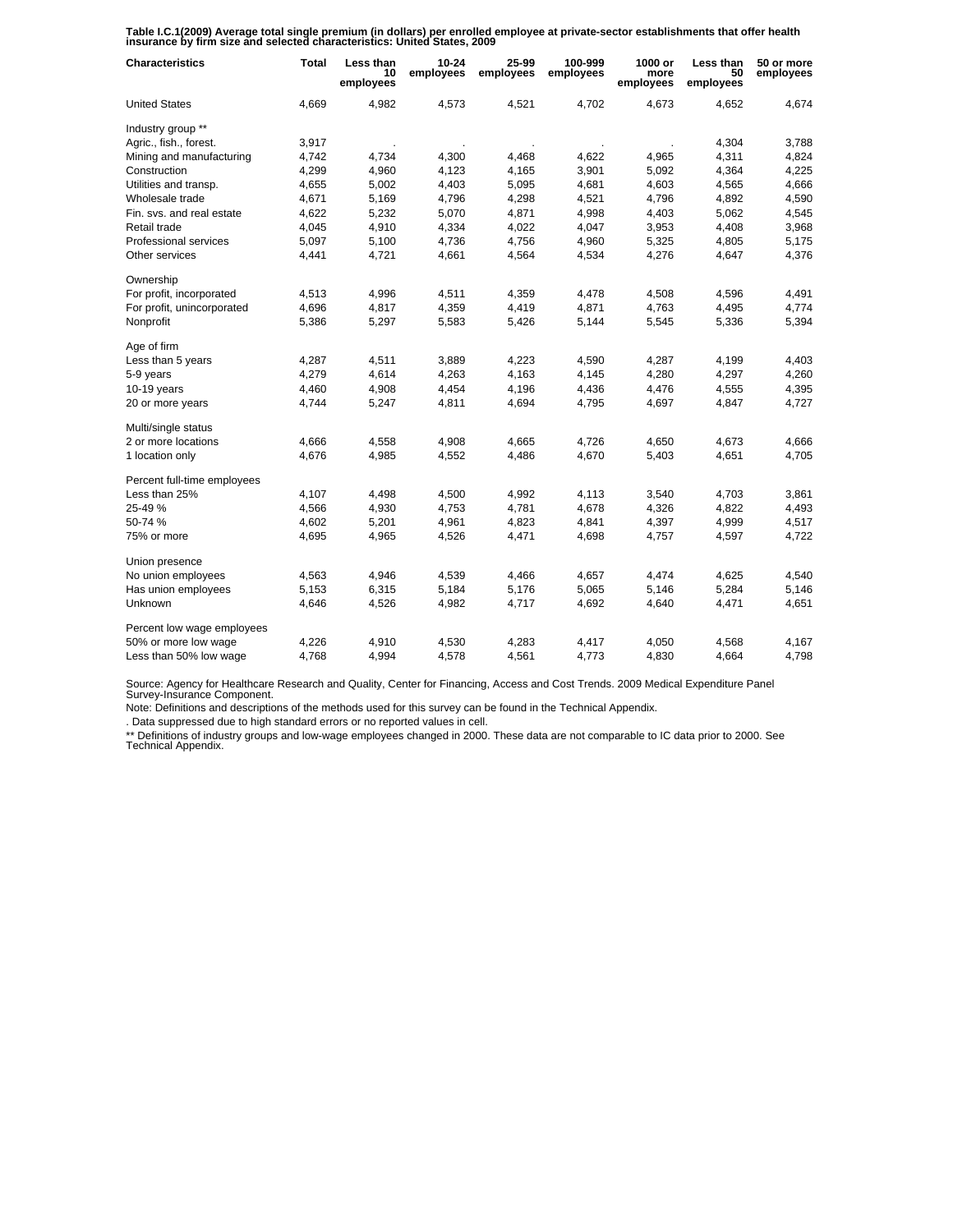**Table I.C.1(2009) Average total single premium (in dollars) per enrolled employee at private-sector establishments that offer health insurance by firm size and selected characteristics: United States, 2009**

| <b>Characteristics</b>      | <b>Total</b> | Less than<br>10<br>employees | $10 - 24$<br>employees | 25-99<br>employees | 100-999<br>employees | 1000 or<br>more<br>employees | Less than<br>50<br>employees | 50 or more<br>employees |
|-----------------------------|--------------|------------------------------|------------------------|--------------------|----------------------|------------------------------|------------------------------|-------------------------|
| <b>United States</b>        | 4,669        | 4,982                        | 4,573                  | 4,521              | 4.702                | 4,673                        | 4,652                        | 4,674                   |
| Industry group **           |              |                              |                        |                    |                      |                              |                              |                         |
| Agric., fish., forest.      | 3,917        |                              |                        |                    |                      |                              | 4,304                        | 3,788                   |
| Mining and manufacturing    | 4,742        | 4,734                        | 4,300                  | 4,468              | 4,622                | 4,965                        | 4,311                        | 4,824                   |
| Construction                | 4,299        | 4,960                        | 4,123                  | 4,165              | 3,901                | 5,092                        | 4,364                        | 4,225                   |
| Utilities and transp.       | 4,655        | 5,002                        | 4,403                  | 5,095              | 4,681                | 4,603                        | 4,565                        | 4,666                   |
| Wholesale trade             | 4,671        | 5,169                        | 4,796                  | 4,298              | 4,521                | 4,796                        | 4,892                        | 4,590                   |
| Fin. svs. and real estate   | 4,622        | 5,232                        | 5,070                  | 4,871              | 4,998                | 4,403                        | 5,062                        | 4,545                   |
| Retail trade                | 4,045        | 4,910                        | 4,334                  | 4,022              | 4,047                | 3,953                        | 4,408                        | 3,968                   |
| Professional services       | 5,097        | 5,100                        | 4,736                  | 4,756              | 4,960                | 5,325                        | 4,805                        | 5,175                   |
| Other services              | 4,441        | 4,721                        | 4,661                  | 4,564              | 4,534                | 4,276                        | 4,647                        | 4,376                   |
| Ownership                   |              |                              |                        |                    |                      |                              |                              |                         |
| For profit, incorporated    | 4,513        | 4,996                        | 4,511                  | 4,359              | 4,478                | 4,508                        | 4,596                        | 4,491                   |
| For profit, unincorporated  | 4,696        | 4,817                        | 4,359                  | 4,419              | 4,871                | 4,763                        | 4,495                        | 4,774                   |
| Nonprofit                   | 5,386        | 5,297                        | 5,583                  | 5,426              | 5,144                | 5,545                        | 5,336                        | 5,394                   |
| Age of firm                 |              |                              |                        |                    |                      |                              |                              |                         |
| Less than 5 years           | 4,287        | 4,511                        | 3,889                  | 4,223              | 4,590                | 4,287                        | 4,199                        | 4,403                   |
| 5-9 years                   | 4,279        | 4,614                        | 4,263                  | 4,163              | 4,145                | 4,280                        | 4,297                        | 4,260                   |
| $10-19$ years               | 4,460        | 4,908                        | 4,454                  | 4,196              | 4,436                | 4,476                        | 4,555                        | 4,395                   |
| 20 or more years            | 4,744        | 5,247                        | 4,811                  | 4,694              | 4,795                | 4,697                        | 4,847                        | 4,727                   |
| Multi/single status         |              |                              |                        |                    |                      |                              |                              |                         |
| 2 or more locations         | 4,666        | 4,558                        | 4,908                  | 4,665              | 4,726                | 4,650                        | 4,673                        | 4,666                   |
| 1 location only             | 4,676        | 4,985                        | 4,552                  | 4,486              | 4,670                | 5,403                        | 4,651                        | 4,705                   |
| Percent full-time employees |              |                              |                        |                    |                      |                              |                              |                         |
| Less than 25%               | 4,107        | 4,498                        | 4,500                  | 4,992              | 4,113                | 3,540                        | 4,703                        | 3,861                   |
| 25-49 %                     | 4,566        | 4,930                        | 4,753                  | 4,781              | 4,678                | 4,326                        | 4,822                        | 4,493                   |
| 50-74 %                     | 4,602        | 5,201                        | 4,961                  | 4,823              | 4,841                | 4,397                        | 4,999                        | 4,517                   |
| 75% or more                 | 4,695        | 4,965                        | 4,526                  | 4,471              | 4,698                | 4,757                        | 4,597                        | 4,722                   |
| Union presence              |              |                              |                        |                    |                      |                              |                              |                         |
| No union employees          | 4,563        | 4,946                        | 4,539                  | 4,466              | 4,657                | 4,474                        | 4,625                        | 4,540                   |
| Has union employees         | 5,153        | 6,315                        | 5,184                  | 5,176              | 5,065                | 5,146                        | 5,284                        | 5,146                   |
| Unknown                     | 4,646        | 4,526                        | 4,982                  | 4,717              | 4,692                | 4,640                        | 4,471                        | 4,651                   |
| Percent low wage employees  |              |                              |                        |                    |                      |                              |                              |                         |
| 50% or more low wage        | 4,226        | 4,910                        | 4,530                  | 4,283              | 4,417                | 4,050                        | 4,568                        | 4,167                   |
| Less than 50% low wage      | 4,768        | 4,994                        | 4,578                  | 4,561              | 4,773                | 4,830                        | 4,664                        | 4,798                   |

Source: Agency for Healthcare Research and Quality, Center for Financing, Access and Cost Trends. 2009 Medical Expenditure Panel Survey-Insurance Component.

Note: Definitions and descriptions of the methods used for this survey can be found in the Technical Appendix.

. Data suppressed due to high standard errors or no reported values in cell.

\*\* Definitions of industry groups and low-wage employees changed in 2000. These data are not comparable to IC data prior to 2000. See Technical Appendix.